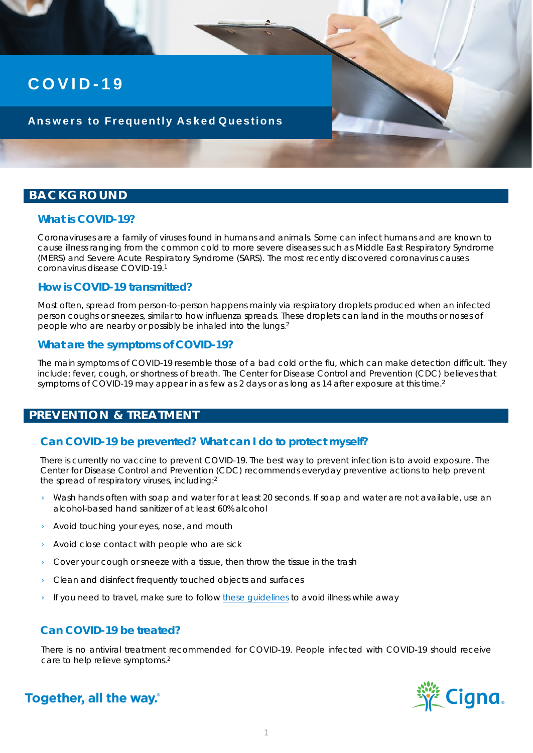# **COVID - 1 9**

#### **Answers to Frequently Asked Questions**

#### **BACKGROUND**

#### **What is COVID-19?**

Coronaviruses are a family of viruses found in humans and animals. Some can infect humans and are known to cause illness ranging from the common cold to more severe diseases such as Middle East Respiratory Syndrome (MERS) and Severe Acute Respiratory Syndrome (SARS). The most recently discovered coronavirus causes coronavirus disease COVID-19.1

#### **How is COVID-19 transmitted?**

Most often, spread from person-to-person happens mainly via respiratory droplets produced when an infected person coughs or sneezes, similar to how influenza spreads. These droplets can land in the mouths or noses of people who are nearby or possibly be inhaled into the lungs.2

#### **What are the symptoms of COVID-19?**

The main symptoms of COVID-19 resemble those of a bad cold or the flu, which can make detection difficult. They include: fever, cough, or shortness of breath. The Center for Disease Control and Prevention (CDC) believes that symptoms of COVID-19 may appear in as few as 2 days or as long as 14 after exposure at this time.<sup>2</sup>

#### **PREVENTION & TREATMENT**

#### **Can COVID-19 be prevented? What can I do to protect myself?**

There is currently no vaccine to prevent COVID-19. The best way to prevent infection is to avoid exposure. The Center for Disease Control and Prevention (CDC) recommends everyday preventive actions to help prevent the spread of respiratory viruses, including:2

- Wash hands often with soap and water for at least 20 seconds. If soap and water are not available, use an alcohol-based hand sanitizer of at least 60% alcohol
- › Avoid touching your eyes, nose, and mouth
- Avoid close contact with people who are sick
- $\rightarrow$  Cover your cough or sneeze with a tissue, then throw the tissue in the trash
- Clean and disinfect frequently touched objects and surfaces
- If you need to travel, make sure to follow these quidelines to avoid illness while away

#### **Can COVID-19 be treated?**

There is no antiviral treatment recommended for COVID-19. People infected with COVID-19 should receive care to help relieve symptoms.<sup>2</sup>



Together, all the way.<sup>®</sup>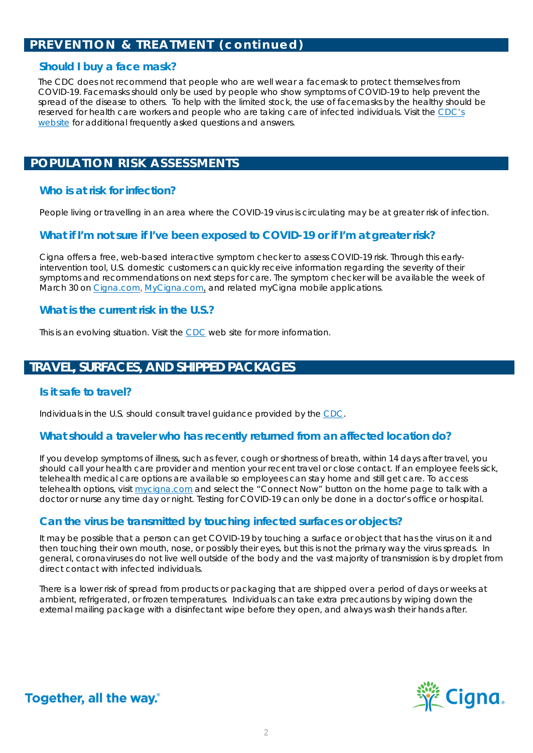## **PREVENTION & TREATMENT (continued)**

#### **Should I buy a face mask?**

The CDC does not recommend that people who are well wear a facemask to protect themselves from COVID-19. Facemasks should only be used by people who show symptoms of COVID-19 to help prevent the spread of the disease to others. To help with the limited stock, the use of facemasks by the healthy should be [reserved for health care workers and people who are taking care of infected individuals. Visit the CDC's](https://www.cdc.gov/coronavirus/2019-ncov/faq.html)  website for additional frequently asked questions and answers.

### **POPULATION RISK ASSESSMENTS**

#### **Who is at risk for infection?**

People living or travelling in an area where the COVID-19 virus is circulating may be at greater risk of infection.

#### **What if I'm not sure if I've been exposed to COVID-19 or if I'm at greater risk?**

Cigna offers a free, web-based interactive symptom checker to assess COVID-19 risk. Through this earlyintervention tool, U.S. domestic customers can quickly receive information regarding the severity of their symptoms and recommendations on next steps for care. The symptom checker will be available the week of March 30 on [Cigna.com,](https://cigna.com/) [MyCigna.com,](https://www.mycigna.com/) and related myCigna mobile applications.

#### **What is the current risk in the U.S.?**

This is an evolving situation. Visit the [CDC](https://www.cdc.gov/coronavirus/2019-ncov/index.html) web site for more information.

## **TRAVEL, SURFACES, AND SHIPPED PACKAGES**

#### **Is it safe to travel?**

Individuals in the U.S. should consult travel guidance provided by the [CDC](https://www.cdc.gov/coronavirus/2019-ncov/travelers/).

#### **What should a traveler who has recently returned from an affected location do?**

If you develop symptoms of illness, such as fever, cough or shortness of breath, within 14 days after travel, you should call your health care provider and mention your recent travel or close contact. If an employee feels sick, telehealth medical care options are available so employees can stay home and still get care. To access telehealth options, visit [mycigna.com](https://my.cigna.com/) and select the "Connect Now" button on the home page to talk with a doctor or nurse any time day or night. Testing for COVID-19 can only be done in a doctor's office or hospital.

#### **Can the virus be transmitted by touching infected surfaces or objects?**

It may be possible that a person can get COVID-19 by touching a surface or object that has the virus on it and then touching their own mouth, nose, or possibly their eyes, but this is not the primary way the virus spreads. In general, coronaviruses do not live well outside of the body and the vast majority of transmission is by droplet from direct contact with infected individuals.

There is a lower risk of spread from products or packaging that are shipped over a period of days or weeks at ambient, refrigerated, or frozen temperatures. Individuals can take extra precautions by wiping down the external mailing package with a disinfectant wipe before they open, and always wash their hands after.